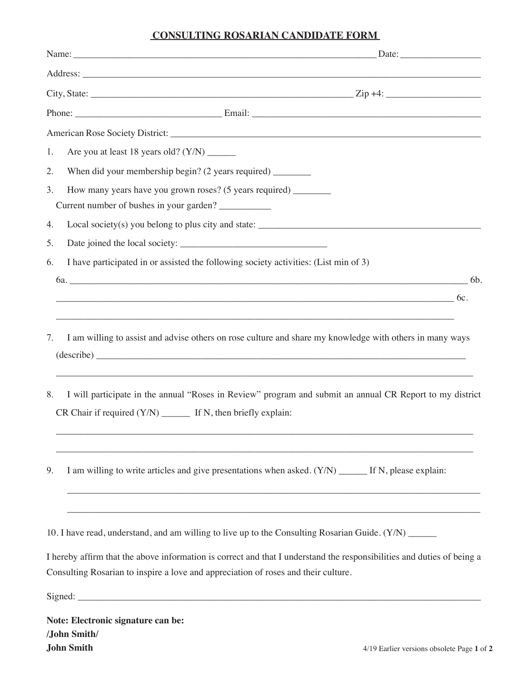## **CONSULTING ROSARIAN CANDIDATE FORM**

| Are you at least 18 years old? (Y/N) _______<br>1.                                                                                                                                                           |
|--------------------------------------------------------------------------------------------------------------------------------------------------------------------------------------------------------------|
| When did your membership begin? (2 years required) _________<br>2.                                                                                                                                           |
| How many years have you grown roses? (5 years required) ________<br>3.<br>Current number of bushes in your garden?                                                                                           |
| Local society(s) you belong to plus city and state: _____________________________<br>4.                                                                                                                      |
| 5.                                                                                                                                                                                                           |
| I have participated in or assisted the following society activities: (List min of 3)<br>6.                                                                                                                   |
| $6a.$ 64.                                                                                                                                                                                                    |
| $\overline{\phantom{a}}$ 6c.                                                                                                                                                                                 |
| I am willing to assist and advise others on rose culture and share my knowledge with others in many ways<br>7.<br>,我们也不能在这里的人,我们也不能在这里的人,我们也不能不能不能不能不能不能不能不能不能不能不能不能不能不能不能。""我们,我们也不能不能不能不能不能不能不能不能          |
| I will participate in the annual "Roses in Review" program and submit an annual CR Report to my district<br>8.                                                                                               |
| I am willing to write articles and give presentations when asked. (Y/N) ______ If N, please explain:<br>9.                                                                                                   |
| 10. I have read, understand, and am willing to live up to the Consulting Rosarian Guide. (Y/N) _____                                                                                                         |
| I hereby affirm that the above information is correct and that I understand the responsibilities and duties of being a<br>Consulting Rosarian to inspire a love and appreciation of roses and their culture. |
|                                                                                                                                                                                                              |
| Note: Electronic signature can be:                                                                                                                                                                           |